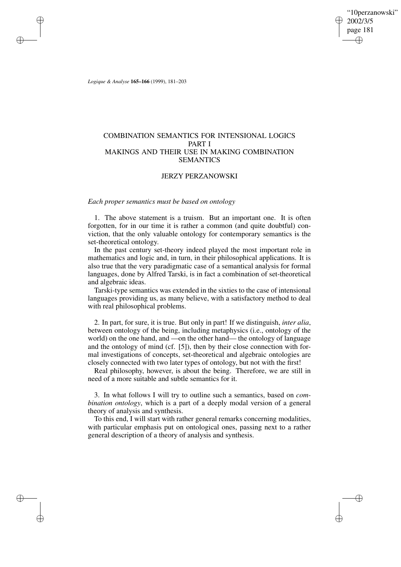"10perzanowski" 2002/3/5 page 181 ✐ ✐

✐

✐

*Logique & Analyse* **165–166** (1999), 181–203

✐

✐

✐

✐

# COMBINATION SEMANTICS FOR INTENSIONAL LOGICS PART I MAKINGS AND THEIR USE IN MAKING COMBINATION SEMANTICS

# JERZY PERZANOWSKI

# *Each proper semantics must be based on ontology*

1. The above statement is a truism. But an important one. It is often forgotten, for in our time it is rather a common (and quite doubtful) conviction, that the only valuable ontology for contemporary semantics is the set-theoretical ontology.

In the past century set-theory indeed played the most important role in mathematics and logic and, in turn, in their philosophical applications. It is also true that the very paradigmatic case of a semantical analysis for formal languages, done by Alfred Tarski, is in fact a combination of set-theoretical and algebraic ideas.

Tarski-type semantics was extended in the sixties to the case of intensional languages providing us, as many believe, with a satisfactory method to deal with real philosophical problems.

2. In part, for sure, it is true. But only in part! If we distinguish, *inter alia*, between ontology of the being, including metaphysics (i.e., ontology of the world) on the one hand, and —on the other hand— the ontology of language and the ontology of mind (cf. [5]), then by their close connection with formal investigations of concepts, set-theoretical and algebraic ontologies are closely connected with two later types of ontology, but not with the first!

Real philosophy, however, is about the being. Therefore, we are still in need of a more suitable and subtle semantics for it.

3. In what follows I will try to outline such a semantics, based on *combination ontology*, which is a part of a deeply modal version of a general theory of analysis and synthesis.

To this end, I will start with rather general remarks concerning modalities, with particular emphasis put on ontological ones, passing next to a rather general description of a theory of analysis and synthesis.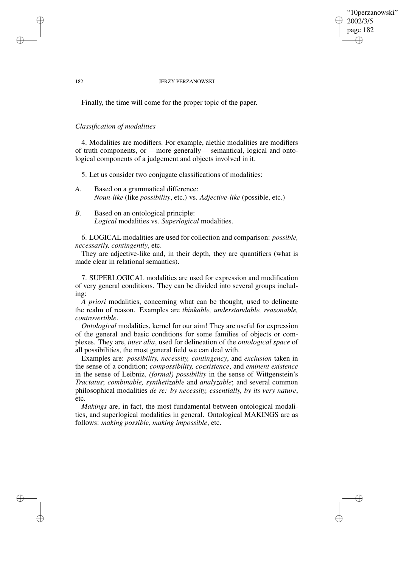## "10perzanowski" 2002/3/5 page 182 ✐ ✐

✐

✐

#### 182 JERZY PERZANOWSKI

Finally, the time will come for the proper topic of the paper.

## *Classification of modalities*

✐

✐

✐

✐

4. Modalities are modifiers. For example, alethic modalities are modifiers of truth components, or —more generally— semantical, logical and ontological components of a judgement and objects involved in it.

5. Let us consider two conjugate classifications of modalities:

- *A.* Based on a grammatical difference: *Noun-like* (like *possibility*, etc.) vs. *Adjective-like* (possible, etc.)
- *B.* Based on an ontological principle: *Logical* modalities vs. *Superlogical* modalities.

6. LOGICAL modalities are used for collection and comparison: *possible, necessarily, contingently*, etc.

They are adjective-like and, in their depth, they are quantifiers (what is made clear in relational semantics).

7. SUPERLOGICAL modalities are used for expression and modification of very general conditions. They can be divided into several groups including:

*A priori* modalities, concerning what can be thought, used to delineate the realm of reason. Examples are *thinkable, understandable, reasonable, controvertible*.

*Ontological* modalities, kernel for our aim! They are useful for expression of the general and basic conditions for some families of objects or complexes. They are, *inter alia*, used for delineation of the *ontological space* of all possibilities, the most general field we can deal with.

Examples are: *possibility, necessity, contingency*, and *exclusion* taken in the sense of a condition; *compossibility, coexistence*, and *eminent existence* in the sense of Leibniz, *(formal) possibility* in the sense of Wittgenstein's *Tractatus*; *combinable, synthetizable* and *analyzable*; and several common philosophical modalities *de re: by necessity, essentially, by its very nature*, etc.

*Makings* are, in fact, the most fundamental between ontological modalities, and superlogical modalities in general. Ontological MAKINGS are as follows: *making possible, making impossible*, etc.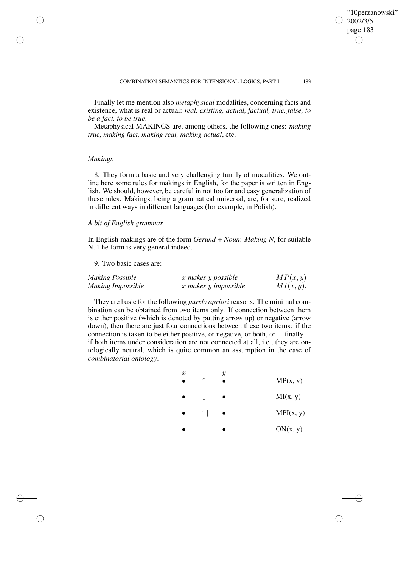Finally let me mention also *metaphysical* modalities, concerning facts and existence, what is real or actual: *real, existing, actual, factual, true, false, to be a fact, to be true*.

Metaphysical MAKINGS are, among others, the following ones: *making true, making fact, making real, making actual*, etc.

# *Makings*

✐

✐

✐

✐

8. They form a basic and very challenging family of modalities. We outline here some rules for makings in English, for the paper is written in English. We should, however, be careful in not too far and easy generalization of these rules. Makings, being a grammatical universal, are, for sure, realized in different ways in different languages (for example, in Polish).

## *A bit of English grammar*

In English makings are of the form *Gerund* + *Noun*: *Making N*, for suitable N. The form is very general indeed.

9. Two basic cases are:

| Making Possible   | x makes y possible   | MP(x, y)     |
|-------------------|----------------------|--------------|
| Making Impossible | x makes y impossible | $MI(x, y)$ . |

They are basic for the following *purely apriori* reasons. The minimal combination can be obtained from two items only. If connection between them is either positive (which is denoted by putting arrow up) or negative (arrow down), then there are just four connections between these two items: if the connection is taken to be either positive, or negative, or both, or —finally if both items under consideration are not connected at all, i.e., they are ontologically neutral, which is quite common an assumption in the case of *combinatorial ontology*.

| $\boldsymbol{x}$ |                       | Y | MP(x, y)  |
|------------------|-----------------------|---|-----------|
|                  |                       |   | MI(x, y)  |
|                  | $\uparrow \downarrow$ |   | MPI(x, y) |
|                  |                       |   | ON(x, y)  |

"10perzanowski"

2002/3/5 page 183

✐

✐

✐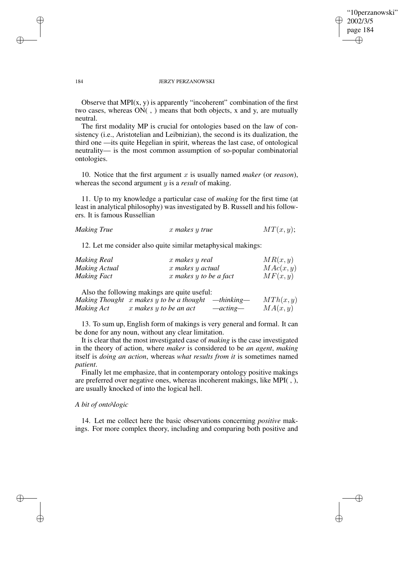## "10perzanowski" 2002/3/5 page 184 ✐ ✐

✐

✐

#### 184 JERZY PERZANOWSKI

Observe that MPI $(x, y)$  is apparently "incoherent" combination of the first two cases, whereas ON( , ) means that both objects, x and y, are mutually neutral.

The first modality MP is crucial for ontologies based on the law of consistency (i.e., Aristotelian and Leibnizian), the second is its dualization, the third one —its quite Hegelian in spirit, whereas the last case, of ontological neutrality— is the most common assumption of so-popular combinatorial ontologies.

10. Notice that the first argument x is usually named *maker* (or *reason*), whereas the second argument y is a *result* of making.

11. Up to my knowledge a particular case of *making* for the first time (at least in analytical philosophy) was investigated by B. Russell and his followers. It is famous Russellian

|  | <b>Making True</b> | x makes y true | MT(x, y); |  |
|--|--------------------|----------------|-----------|--|
|--|--------------------|----------------|-----------|--|

12. Let me consider also quite similar metaphysical makings:

| <b>Making Real</b> | x makes y real             | MR(x, y)  |
|--------------------|----------------------------|-----------|
| Making Actual      | x makes y actual           | MAC(x, y) |
| <b>Making Fact</b> | $x$ makes $y$ to be a fact | MF(x, y)  |

Also the following makings are quite useful:

|            | Making Thought x makes y to be a thought | $-thinking-$ | MTh(x,y) |
|------------|------------------------------------------|--------------|----------|
| Making Act | x makes y to be an act                   | $-acting-$   | MA(x, y) |

13. To sum up, English form of makings is very general and formal. It can be done for any noun, without any clear limitation.

It is clear that the most investigated case of *making* is the case investigated in the theory of action, where *maker* is considered to be *an agent*, *making* itself is *doing an action*, whereas *what results from it* is sometimes named *patient*.

Finally let me emphasize, that in contemporary ontology positive makings are preferred over negative ones, whereas incoherent makings, like MPI( , ), are usually knocked of into the logical hell.

#### *A bit of onto\logic*

14. Let me collect here the basic observations concerning *positive* makings. For more complex theory, including and comparing both positive and

✐

✐

✐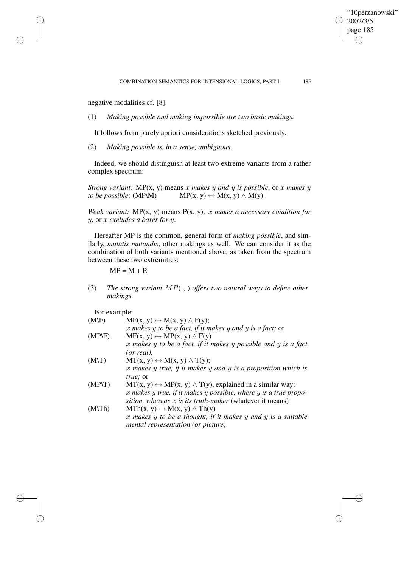"10perzanowski"

2002/3/5 page 185

✐

✐

✐

✐

negative modalities cf. [8].

✐

✐

✐

✐

(1) *Making possible and making impossible are two basic makings.*

It follows from purely apriori considerations sketched previously.

(2) *Making possible is, in a sense, ambiguous.*

Indeed, we should distinguish at least two extreme variants from a rather complex spectrum:

*Strong variant:*  $MP(x, y)$  means x *makes* y *and* y *is possible*, or x *makes* y *to be possible*: (MP\M) MP(x, y)  $\leftrightarrow$  M(x, y)  $\land$  M(y).

*Weak variant:* MP(x, y) means P(x, y): x *makes a necessary condition for* y, or x *excludes a barer for* y.

Hereafter MP is the common, general form of *making possible*, and similarly, *mutatis mutandis*, other makings as well. We can consider it as the combination of both variants mentioned above, as taken from the spectrum between these two extremities:

 $MP = M + P$ .

(3) *The strong variant* MP( , ) *offers two natural ways to define other makings.*

For example:

| $(M\backslash F)$ | $MF(x, y) \leftrightarrow M(x, y) \wedge F(y);$                               |
|-------------------|-------------------------------------------------------------------------------|
|                   | $x$ makes $y$ to be a fact, if it makes $y$ and $y$ is a fact; or             |
| $(MP\ F)$         | $MF(x, y) \leftrightarrow MP(x, y) \wedge F(y)$                               |
|                   | $x$ makes $y$ to be a fact, if it makes $y$ possible and $y$ is a fact        |
|                   | (or real).                                                                    |
| $(M\vee T)$       | $MT(x, y) \leftrightarrow M(x, y) \wedge T(y);$                               |
|                   | $x$ makes $y$ true, if it makes $y$ and $y$ is a proposition which is         |
|                   | true; or                                                                      |
| $(MP\setminus T)$ | $MT(x, y) \leftrightarrow MP(x, y) \wedge T(y)$ , explained in a similar way: |
|                   | x makes y true, if it makes y possible, where y is a true propo-              |
|                   | sition, whereas $x$ is its truth-maker (whatever it means)                    |
| $(M\n\Pi h)$      | $\text{MTh}(x, y) \leftrightarrow \text{M}(x, y) \wedge \text{Th}(y)$         |
|                   | $x$ makes $y$ to be a thought, if it makes $y$ and $y$ is a suitable          |
|                   | mental representation (or picture)                                            |
|                   |                                                                               |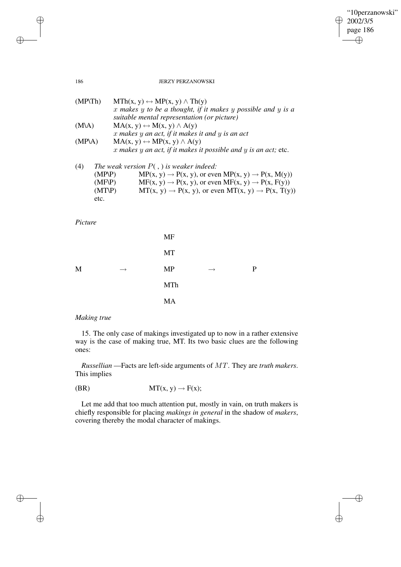$\bigoplus$ 

 $\bigoplus$ 

#### 186 JERZY PERZANOWSKI

| $(MP\backslash Th)$ | $MTh(x, y) \leftrightarrow MP(x, y) \wedge Th(y)$                          |
|---------------------|----------------------------------------------------------------------------|
|                     | $x$ makes $y$ to be a thought, if it makes $y$ possible and $y$ is a       |
|                     | suitable mental representation (or picture)                                |
| $(M\lambda)$        | $MA(x, y) \leftrightarrow M(x, y) \land A(y)$                              |
|                     | $x$ makes $y$ an act, if it makes it and $y$ is an act                     |
| $(MP\ A)$           | $MA(x, y) \leftrightarrow MP(x, y) \land A(y)$                             |
|                     | x makes y an act, if it makes it possible and y is an act; etc.            |
| (4)                 | The weak version $P($ , $)$ is weaker indeed:                              |
| $(MP\ P)$           | $MP(x, y) \rightarrow P(x, y)$ , or even $MP(x, y) \rightarrow P(x, M(y))$ |
| (1.4E)              | $M E(\ldots) = D(\ldots)$ as soon $M E(\ldots) = D(\ldots) E(\ldots)$      |

| $(MF\ P)$ | $MF(x, y) \rightarrow P(x, y)$ , or even $MF(x, y) \rightarrow P(x, F(y))$ |
|-----------|----------------------------------------------------------------------------|
| $(MT\ P)$ | $MT(x, y) \rightarrow P(x, y)$ , or even $MT(x, y) \rightarrow P(x, T(y))$ |
| etc.      |                                                                            |

*Picture*

|   |               | <b>MF</b>  |               |   |
|---|---------------|------------|---------------|---|
|   |               | MT         |               |   |
| M | $\rightarrow$ | <b>MP</b>  | $\rightarrow$ | P |
|   |               | <b>MTh</b> |               |   |
|   |               | <b>MA</b>  |               |   |

# *Making true*

15. The only case of makings investigated up to now in a rather extensive way is the case of making true, MT. Its two basic clues are the following ones:

*Russellian* —Facts are left-side arguments of MT. They are *truth makers*. This implies

$$
(BR) \tMT(x, y) \to F(x);
$$

Let me add that too much attention put, mostly in vain, on truth makers is chiefly responsible for placing *makings in general* in the shadow of *makers*, covering thereby the modal character of makings.

 $\bigoplus$ 

 $\bigoplus$ 

 $\bigoplus$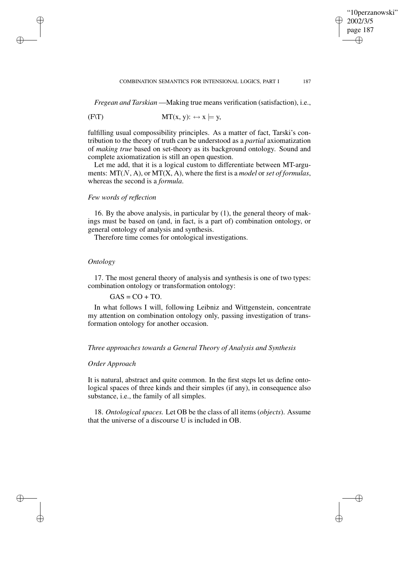#### COMBINATION SEMANTICS FOR INTENSIONAL LOGICS, PART I 187

"10perzanowski"

2002/3/5 page 187

✐

✐

✐

✐

*Fregean and Tarskian* —Making true means verification (satisfaction), i.e.,

$$
(F\setminus T) \qquad \qquad MT(x, y): \leftrightarrow x \models y,
$$

fulfilling usual compossibility principles. As a matter of fact, Tarski's contribution to the theory of truth can be understood as a *partial* axiomatization of *making true* based on set-theory as its background ontology. Sound and complete axiomatization is still an open question.

Let me add, that it is a logical custom to differentiate between MT-arguments: MT(N, A), or MT(X, A), where the first is a *model* or *set of formulas*, whereas the second is a *formula*.

# *Few words of reflection*

16. By the above analysis, in particular by (1), the general theory of makings must be based on (and, in fact, is a part of) combination ontology, or general ontology of analysis and synthesis.

Therefore time comes for ontological investigations.

# *Ontology*

✐

✐

✐

✐

17. The most general theory of analysis and synthesis is one of two types: combination ontology or transformation ontology:

## $GAS = CO + TO$ .

In what follows I will, following Leibniz and Wittgenstein, concentrate my attention on combination ontology only, passing investigation of transformation ontology for another occasion.

## *Three approaches towards a General Theory of Analysis and Synthesis*

# *Order Approach*

It is natural, abstract and quite common. In the first steps let us define ontological spaces of three kinds and their simples (if any), in consequence also substance, i.e., the family of all simples.

18. *Ontological spaces.* Let OB be the class of all items (*objects*). Assume that the universe of a discourse U is included in OB.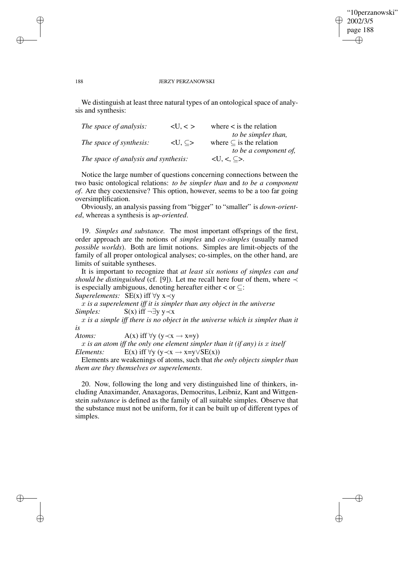## "10perzanowski" 2002/3/5 page 188 ✐ ✐

✐

✐

#### 188 JERZY PERZANOWSKI

✐

✐

✐

✐

We distinguish at least three natural types of an ontological space of analysis and synthesis:

| The space of analysis:               | < U, < >                       | where $\lt$ is the relation                |
|--------------------------------------|--------------------------------|--------------------------------------------|
|                                      |                                | to be simpler than,                        |
| The space of synthesis:              | $\langle U, \subseteq \rangle$ | where $\subset$ is the relation            |
|                                      |                                | to be a component of,                      |
| The space of analysis and synthesis: |                                | $\langle U, \langle , \subseteq \rangle$ . |

Notice the large number of questions concerning connections between the two basic ontological relations: *to be simpler than* and *to be a component of*. Are they coextensive? This option, however, seems to be a too far going oversimplification.

Obviously, an analysis passing from "bigger" to "smaller" is *down-oriented*, whereas a synthesis is *up-oriented*.

19. *Simples and substance.* The most important offsprings of the first, order approach are the notions of *simples* and *co-simples* (usually named *possible worlds*). Both are limit notions. Simples are limit-objects of the family of all proper ontological analyses; co-simples, on the other hand, are limits of suitable syntheses.

It is important to recognize that *at least six notions of simples can and should be distinguished* (cf. [9]). Let me recall here four of them, where  $\prec$ is especially ambiguous, denoting hereafter either  $\lt$  or  $\subseteq$ : *Superelements:* SE(x) iff ∀y x≺y

x *is a superelement iff it is simpler than any object in the universe Simples:* S(x) iff ¬∃y y≺x

x *is a simple iff there is no object in the universe which is simpler than it is*

*Atoms:*  $A(x)$  iff  $\forall y \ (y \prec x \rightarrow x=y)$ 

x *is an atom iff the only one element simpler than it (if any) is* x *itself Elements:* E(x) iff  $\forall y \ (y \prec x \rightarrow x=y \lor SE(x))$ 

Elements are weakenings of atoms, such that *the only objects simpler than them are they themselves or superelements*.

20. Now, following the long and very distinguished line of thinkers, including Anaximander, Anaxagoras, Democritus, Leibniz, Kant and Wittgenstein *substance* is defined as the family of all suitable simples. Observe that the substance must not be uniform, for it can be built up of different types of simples.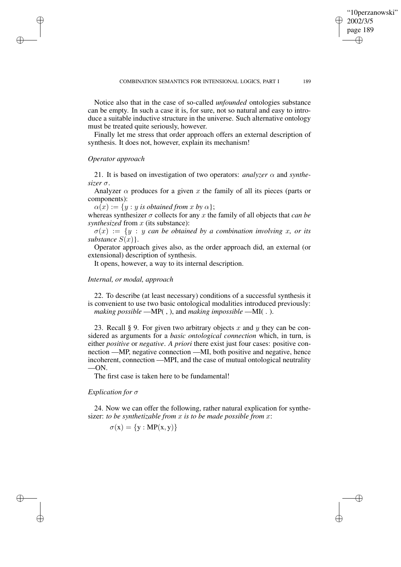Notice also that in the case of so-called *unfounded* ontologies substance can be empty. In such a case it is, for sure, not so natural and easy to introduce a suitable inductive structure in the universe. Such alternative ontology must be treated quite seriously, however.

Finally let me stress that order approach offers an external description of synthesis. It does not, however, explain its mechanism!

# *Operator approach*

✐

✐

✐

✐

21. It is based on investigation of two operators: *analyzer*  $\alpha$  and *synthesizer* σ.

Analyzer  $\alpha$  produces for a given x the family of all its pieces (parts or components):

 $\alpha(x) := \{y : y \text{ is obtained from } x \text{ by } \alpha\};$ 

whereas synthesizer  $\sigma$  collects for any  $x$  the family of all objects that *can* be *synthesized* from x (its substance):

 $\sigma(x) := \{y : y \text{ can be obtained by a combination involving x, or its }$ *substance*  $S(x)$ .

Operator approach gives also, as the order approach did, an external (or extensional) description of synthesis.

It opens, however, a way to its internal description.

## *Internal, or modal, approach*

22. To describe (at least necessary) conditions of a successful synthesis it is convenient to use two basic ontological modalities introduced previously: *making possible* —MP( , ), and *making impossible* —MI( . ).

23. Recall § 9. For given two arbitrary objects x and y they can be considered as arguments for a *basic ontological connection* which, in turn, is either *positive* or *negative*. *A priori* there exist just four cases: positive connection —MP, negative connection —MI, both positive and negative, hence incoherent, connection —MPI, and the case of mutual ontological neutrality —ON.

The first case is taken here to be fundamental!

#### *Explication for* σ

24. Now we can offer the following, rather natural explication for synthesizer: *to be synthetizable from* x *is to be made possible from* x:

$$
\sigma(x) = \{y : MP(x, y)\}
$$

"10perzanowski"

2002/3/5 page 189

✐

✐

✐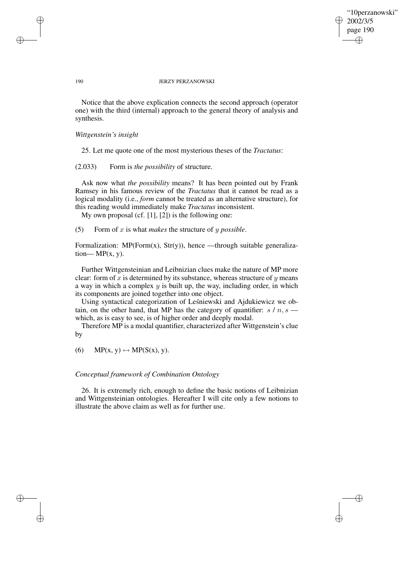"10perzanowski" 2002/3/5 page 190 ✐ ✐

✐

✐

#### 190 JERZY PERZANOWSKI

Notice that the above explication connects the second approach (operator one) with the third (internal) approach to the general theory of analysis and synthesis.

### *Wittgenstein's insight*

25. Let me quote one of the most mysterious theses of the *Tractatus*:

(2.033) Form is *the possibility* of structure.

Ask now what *the possibility* means? It has been pointed out by Frank Ramsey in his famous review of the *Tractatus* that it cannot be read as a logical modality (i.e., *form* cannot be treated as an alternative structure), for this reading would immediately make *Tractatus* inconsistent.

My own proposal (cf. [1], [2]) is the following one:

(5) Form of x is what *makes* the structure of y *possible*.

Formalization:  $MP(Form(x), Str(y))$ , hence —through suitable generaliza $tion-MP(x, y)$ .

Further Wittgensteinian and Leibnizian clues make the nature of MP more clear: form of x is determined by its substance, whereas structure of  $y$  means a way in which a complex  $y$  is built up, the way, including order, in which its components are joined together into one object.

Using syntactical categorization of Leśniewski and Ajdukiewicz we obtain, on the other hand, that MP has the category of quantifier:  $s / n, s$ which, as is easy to see, is of higher order and deeply modal.

Therefore MP is a modal quantifier, characterized after Wittgenstein's clue by

(6) MP(x, y)  $\leftrightarrow$  MP(S(x), y).

## *Conceptual framework of Combination Ontology*

26. It is extremely rich, enough to define the basic notions of Leibnizian and Wittgensteinian ontologies. Hereafter I will cite only a few notions to illustrate the above claim as well as for further use.

✐

✐

✐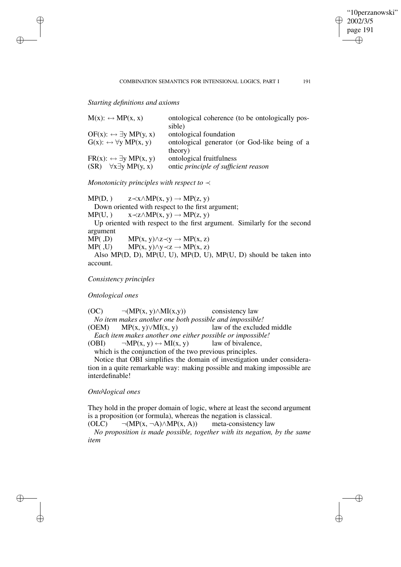✐

## COMBINATION SEMANTICS FOR INTENSIONAL LOGICS, PART I 191

*Starting definitions and axioms*

✐

✐

✐

✐

| $M(x): \leftrightarrow MP(x, x)$              | ontological coherence (to be ontologically pos- |
|-----------------------------------------------|-------------------------------------------------|
|                                               | sible)                                          |
| $OF(x): \leftrightarrow \exists y MP(y, x)$   | ontological foundation                          |
| $G(x): \leftrightarrow \forall y \; MP(x, y)$ | ontological generator (or God-like being of a   |
|                                               | theory)                                         |
| $FR(x): \leftrightarrow \exists y \ MP(x, y)$ | ontological fruitfulness                        |
| $\forall x \exists y \ MP(y, x)$<br>(SR)      | ontic principle of sufficient reason            |

*Monotonicity principles with respect to* ≺

 $MP(D,)$   $z \prec x \wedge MP(x, y) \rightarrow MP(z, y)$ Down oriented with respect to the first argument;  $MP(U, )$   $x \prec z \land MP(x, y) \rightarrow MP(z, y)$ Up oriented with respect to the first argument. Similarly for the second argument MP(,D) MP(x, y) $\land$ z $\prec$ y  $\rightarrow$  MP(x, z) MP( $I, U$ ) MP( $X, Y$ ) $\land Y \prec Z \rightarrow MP(X, Z)$ Also MP(D, D), MP(U, U), MP(D, U), MP(U, D) should be taken into account.

*Consistency principles*

*Ontological ones*

(OC)  $\neg(MP(x, y) \land MI(x, y))$  consistency law *No item makes another one both possible and impossible!* (OEM) MP $(x, y)$ ∨MI $(x, y)$  law of the excluded middle *Each item makes another one either possible or impossible!* (OBI)  $\neg MP(x, y) \leftrightarrow MI(x, y)$  law of bivalence,

which is the conjunction of the two previous principles.

Notice that OBI simplifies the domain of investigation under consideration in a quite remarkable way: making possible and making impossible are interdefinable!

*Onto\logical ones*

They hold in the proper domain of logic, where at least the second argument is a proposition (or formula), whereas the negation is classical.<br>(OLC)  $\neg (MP(x, \neg A) \land MP(x, A))$  meta-consistency law

 $\neg(MP(x, \neg A)\wedge MP(x, A))$ 

*No proposition is made possible, together with its negation, by the same item*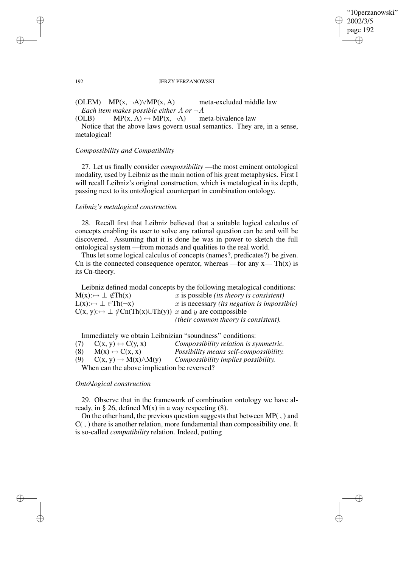✐

#### 192 JERZY PERZANOWSKI

(OLEM) MP(x,  $\neg A$ ) $\vee$ MP(x, A) meta-excluded middle law *Each item makes possible either*  $A$  *or*  $\neg A$ 

(OLB)  $\neg MP(x, A) \leftrightarrow MP(x, \neg A)$  meta-bivalence law

Notice that the above laws govern usual semantics. They are, in a sense, metalogical!

## *Compossibility and Compatibility*

27. Let us finally consider *compossibility* —the most eminent ontological modality, used by Leibniz as the main notion of his great metaphysics. First I will recall Leibniz's original construction, which is metalogical in its depth, passing next to its onto\logical counterpart in combination ontology.

## *Leibniz's metalogical construction*

28. Recall first that Leibniz believed that a suitable logical calculus of concepts enabling its user to solve any rational question can be and will be discovered. Assuming that it is done he was in power to sketch the full ontological system —from monads and qualities to the real world.

Thus let some logical calculus of concepts (names?, predicates?) be given. Cn is the connected consequence operator, whereas —for any  $x$ — Th(x) is its Cn-theory.

Leibniz defined modal concepts by the following metalogical conditions:  $M(x): \rightarrow \bot \notin Th(x)$  *x* is possible *(its theory is consistent)*  $L(x): \rightarrow \bot \in Th(\neg x)$  x is necessary *(its negation is impossible)*  $C(x, y)$ : $\leftrightarrow \perp \notin Cn(Th(x) \cup Th(y))$  x and y are compossible *(their common theory is consistent).*

Immediately we obtain Leibnizian "soundness" conditions:

| (7) | $C(x, y) \leftrightarrow C(y, x)$           | Compossibility relation is symmetric.  |
|-----|---------------------------------------------|----------------------------------------|
| (8) | $M(x) \leftrightarrow C(x, x)$              | Possibility means self-compossibility. |
| (9) | $C(x, y) \rightarrow M(x) \wedge M(y)$      | Compossibility implies possibility.    |
|     | When can the above implication be reversed? |                                        |

#### *Onto\logical construction*

29. Observe that in the framework of combination ontology we have already, in § 26, defined  $M(x)$  in a way respecting (8).

On the other hand, the previous question suggests that between MP( , ) and C( , ) there is another relation, more fundamental than compossibility one. It is so-called *compatibility* relation. Indeed, putting

✐

✐

✐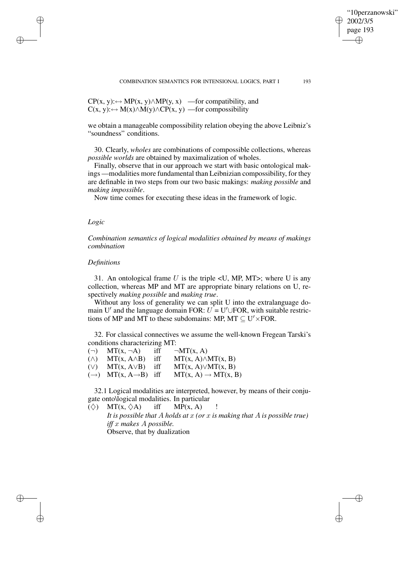$CP(x, y): \rightarrow MP(x, y) \wedge MP(y, x)$  —for compatibility, and  $C(x, y)$ : →  $M(x) \wedge M(y) \wedge CP(x, y)$  —for compossibility

we obtain a manageable compossibility relation obeying the above Leibniz's "soundness" conditions.

30. Clearly, *wholes* are combinations of compossible collections, whereas *possible worlds* are obtained by maximalization of wholes.

Finally, observe that in our approach we start with basic ontological makings —modalities more fundamental than Leibnizian compossibility, for they are definable in two steps from our two basic makings: *making possible* and *making impossible*.

Now time comes for executing these ideas in the framework of logic.

#### *Logic*

✐

✐

✐

✐

*Combination semantics of logical modalities obtained by means of makings combination*

## *Definitions*

31. An ontological frame U is the triple  $\langle U, MP, MT \rangle$ ; where U is any collection, whereas MP and MT are appropriate binary relations on U, respectively *making possible* and *making true*.

Without any loss of generality we can split U into the extralanguage domain U' and the language domain FOR:  $U = U' \cup FOR$ , with suitable restrictions of MP and MT to these subdomains: MP, MT  $\subseteq U' \times FOR$ .

32. For classical connectives we assume the well-known Fregean Tarski's conditions characterizing MT:

 $(\neg)$  MT(x,  $\neg$ A) iff  $\neg$ MT(x, A)  $(\wedge)$  MT(x, A $\wedge$ B) iff MT(x, A) $\wedge$ MT(x, B) (∨) MT(x, A∨B) iff MT(x, A)∨MT(x, B)  $(\rightarrow)$  MT(x, A $\rightarrow$ B) iff MT(x, A)  $\rightarrow$  MT(x, B)

32.1 Logical modalities are interpreted, however, by means of their conjugate onto\logical modalities. In particular

 $(\diamondsuit)$  MT(x,  $\diamondsuit$ A) iff MP(x, A)

*It is possible that* A *holds at* x *(or* x *is making that* A *is possible true) iff* x *makes* A *possible.* Observe, that by dualization

"10perzanowski"

2002/3/5 page 193

✐

✐

✐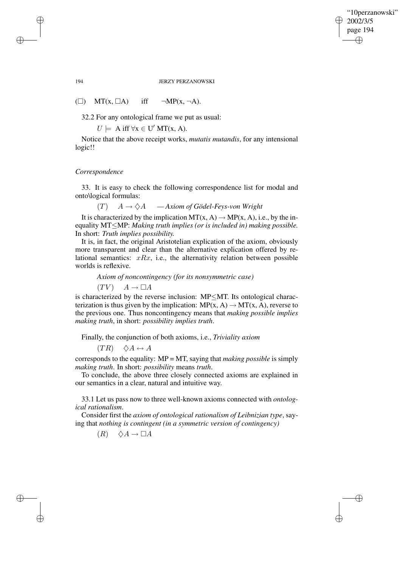✐

#### 194 JERZY PERZANOWSKI

( $\square$ ) MT(x,  $\square$ A) iff  $\neg MP(x, \neg A)$ .

32.2 For any ontological frame we put as usual:

 $U \models A \text{ iff } \forall x \in U' \text{ MT}(x, A).$ 

Notice that the above receipt works, *mutatis mutandis*, for any intensional logic!!

#### *Correspondence*

33. It is easy to check the following correspondence list for modal and onto\logical formulas:

 $(T)$   $A \rightarrow \Diamond A$   $-Axiom$  *of Gödel-Feys-von Wright* 

It is characterized by the implication  $MT(x, A) \rightarrow MP(x, A)$ , i.e., by the inequality MT≤MP: *Making truth implies (or is included in) making possible.* In short: *Truth implies possibility.*

It is, in fact, the original Aristotelian explication of the axiom, obviously more transparent and clear than the alternative explication offered by relational semantics:  $xRx$ , i.e., the alternativity relation between possible worlds is reflexive.

*Axiom of noncontingency (for its nonsymmetric case)*

 $(TV)$   $A \rightarrow \Box A$ 

is characterized by the reverse inclusion: MP≤MT. Its ontological characterization is thus given by the implication:  $MP(x, A) \rightarrow MT(x, A)$ , reverse to the previous one. Thus noncontingency means that *making possible implies making truth*, in short: *possibility implies truth*.

Finally, the conjunction of both axioms, i.e., *Triviality axiom*

 $(TR) \quad \diamond A \leftrightarrow A$ 

corresponds to the equality: MP = MT, saying that *making possible* is simply *making truth*. In short: *possibility* means *truth*.

To conclude, the above three closely connected axioms are explained in our semantics in a clear, natural and intuitive way.

33.1 Let us pass now to three well-known axioms connected with *ontological rationalism*.

Consider first the *axiom of ontological rationalism of Leibnizian type*, saying that *nothing is contingent (in a symmetric version of contingency)*

 $(R) \quad \diamondsuit A \rightarrow \Box A$ 

✐

✐

✐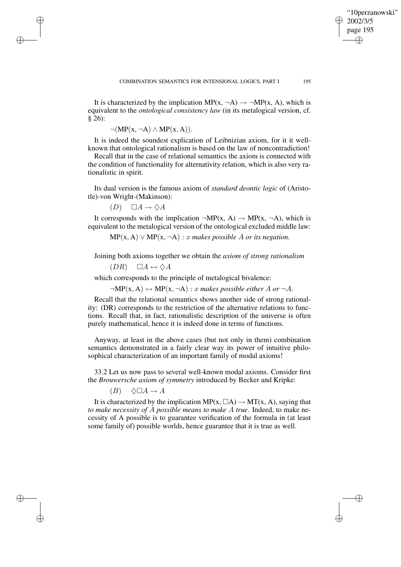It is characterized by the implication MP(x,  $\neg A$ )  $\rightarrow \neg MP(x, A)$ , which is equivalent to the *ontological consistency law* (in its metalogical version, cf. § 26):

 $\neg(MP(x, \neg A) \land MP(x, A)).$ 

✐

✐

✐

✐

It is indeed the soundest explication of Leibnizian axiom, for it it wellknown that ontological rationalism is based on the law of noncontradiction!

Recall that in the case of relational semantics the axiom is connected with the condition of functionality for alternativity relation, which is also very rationalistic in spirit.

Its dual version is the famous axiom of *standard deontic logic* of (Aristotle)-von Wright-(Makinson):

 $(D) \quad \Box A \rightarrow \Diamond A$ 

It corresponds with the implication  $\neg MP(x, A) \rightarrow MP(x, \neg A)$ , which is equivalent to the metalogical version of the ontological excluded middle law:

 $MP(x, A) \vee MP(x, \neg A): x$  makes possible A or its negation.

Joining both axioms together we obtain the *axiom of strong rationalism*

 $(DR) \square A \leftrightarrow \Diamond A$ 

which corresponds to the principle of metalogical bivalence:

 $\neg MP(x, A) \leftrightarrow MP(x, \neg A) : x \text{ makes possible either } A \text{ or } \neg A.$ 

Recall that the relational semantics shows another side of strong rationality: (DR) corresponds to the restriction of the alternative relations to functions. Recall that, in fact, rationalistic description of the universe is often purely mathematical, hence it is indeed done in terms of functions.

Anyway, at least in the above cases (but not only in them) combination semantics demonstrated in a fairly clear way its power of intuitive philosophical characterization of an important family of modal axioms!

33.2 Let us now pass to several well-known modal axioms. Consider first the *Brouwersche axiom of symmetry* introduced by Becker and Kripke:

 $(B) \quad \Diamond \Box A \rightarrow A$ 

It is characterized by the implication  $MP(x, \Box A) \rightarrow MT(x, A)$ , saying that *to make necessity of* A *possible means to make* A *true*. Indeed, to make necessity of A possible is to guarantee verification of the formula in (at least some family of) possible worlds, hence guarantee that it is true as well.

"10perzanowski"

2002/3/5 page 195

✐

✐

✐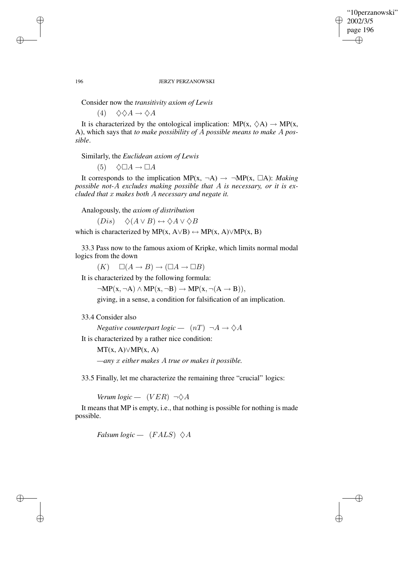✐

#### 196 JERZY PERZANOWSKI

Consider now the *transitivity axiom of Lewis*

(4)  $\Diamond \Diamond A \rightarrow \Diamond A$ 

It is characterized by the ontological implication:  $MP(x, \Diamond A) \rightarrow MP(x, \Diamond B)$ A), which says that *to make possibility of* A *possible means to make* A *possible*.

Similarly, the *Euclidean axiom of Lewis*

 $(5) \quad \Diamond \Box A \rightarrow \Box A$ 

It corresponds to the implication  $MP(x, \neg A) \rightarrow \neg MP(x, \Box A)$ : *Making possible not-*A *excludes making possible that* A *is necessary, or it is excluded that* x *makes both* A *necessary and negate it.*

Analogously, the *axiom of distribution*

 $(Dis) \quad \diamond (A \vee B) \leftrightarrow \diamond A \vee \diamond B$ 

which is characterized by MP(x, A $\lor$ B)  $\leftrightarrow$  MP(x, A) $\lor$ MP(x, B)

33.3 Pass now to the famous axiom of Kripke, which limits normal modal logics from the down

 $(K) \quad \Box(A \rightarrow B) \rightarrow (\Box A \rightarrow \Box B)$ 

It is characterized by the following formula:

 $\neg MP(x, \neg A) \land MP(x, \neg B) \rightarrow MP(x, \neg (A \rightarrow B)),$ 

giving, in a sense, a condition for falsification of an implication.

## 33.4 Consider also

*Negative counterpart logic* —  $(nT) \neg A \rightarrow \Diamond A$ 

It is characterized by a rather nice condition:

 $MT(x, A) \vee MP(x, A)$ 

*—any* x *either makes* A *true or makes it possible.*

33.5 Finally, let me characterize the remaining three "crucial" logics:

*Verum*  $logic - (VER) \neg \Diamond A$ 

It means that MP is empty, i.e., that nothing is possible for nothing is made possible.

*Falsum*  $logic - (FALS) \diamondsuit A$ 

✐

✐

✐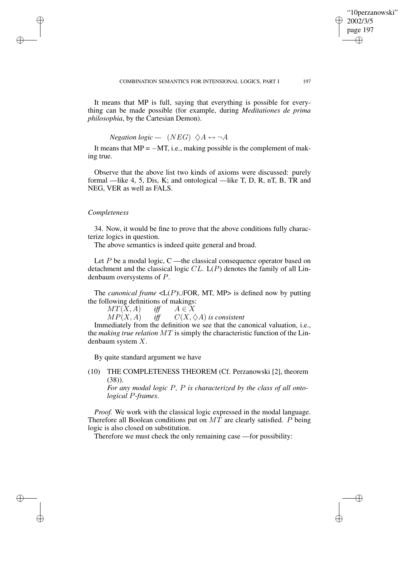✐

It means that MP is full, saying that everything is possible for everything can be made possible (for example, during *Meditationes de prima philosophia*, by the Cartesian Demon).

*Negation logic* —  $(NEG) \diamond A \leftrightarrow \neg A$ 

It means that  $MP = -MT$ , i.e., making possible is the complement of making true.

Observe that the above list two kinds of axioms were discussed: purely formal —like 4, 5, Dis, K; and ontological —like T, D, R, nT, B, TR and NEG, VER as well as FALS.

#### *Completeness*

✐

✐

✐

✐

34. Now, it would be fine to prove that the above conditions fully characterize logics in question.

The above semantics is indeed quite general and broad.

Let  $P$  be a modal logic, C —the classical consequence operator based on detachment and the classical logic  $CL$ .  $L(P)$  denotes the family of all Lindenbaum oversystems of P.

The *canonical frame* <L(P)∪FOR, MT, MP> is defined now by putting the following definitions of makings:

 $MT(X, A)$  *iff*  $A \in X$ 

 $MP(X, A)$  *iff*  $C(X, \Diamond A)$  *is consistent* 

Immediately from the definition we see that the canonical valuation, i.e., the *making true relation* MT is simply the characteristic function of the Lindenbaum system X.

By quite standard argument we have

(10) THE COMPLETENESS THEOREM (Cf. Perzanowski [2], theorem (38)).

*For any modal logic* P*,* P *is characterized by the class of all ontological* P*-frames.*

*Proof.* We work with the classical logic expressed in the modal language. Therefore all Boolean conditions put on  $MT$  are clearly satisfied.  $P$  being logic is also closed on substitution.

Therefore we must check the only remaining case —for possibility: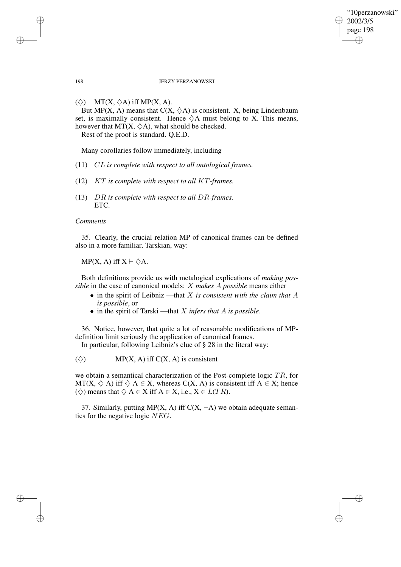## "10perzanowski" 2002/3/5 page 198 ✐ ✐

✐

✐

#### 198 JERZY PERZANOWSKI

 $(\diamondsuit)$  MT(X,  $\diamondsuit$ A) iff MP(X, A).

But MP(X, A) means that  $C(X, \Diamond A)$  is consistent. X, being Lindenbaum set, is maximally consistent. Hence  $\Diamond A$  must belong to X. This means, however that  $MT(X, \Diamond A)$ , what should be checked.

Rest of the proof is standard. Q.E.D.

Many corollaries follow immediately, including

- (11) CL *is complete with respect to all ontological frames.*
- (12) KT *is complete with respect to all* KT*-frames.*
- (13) DR *is complete with respect to all* DR*-frames.* ETC.

## *Comments*

35. Clearly, the crucial relation MP of canonical frames can be defined also in a more familiar, Tarskian, way:

MP(X, A) iff  $X \vdash \Diamond A$ .

Both definitions provide us with metalogical explications of *making possible* in the case of canonical models: X *makes* A *possible* means either

- in the spirit of Leibniz —that X *is consistent with the claim that* A *is possible*, or
- in the spirit of Tarski —that X *infers that* A *is possible*.

36. Notice, however, that quite a lot of reasonable modifications of MPdefinition limit seriously the application of canonical frames.

In particular, following Leibniz's clue of § 28 in the literal way:

 $(\diamondsuit)$  MP(X, A) iff C(X, A) is consistent

we obtain a semantical characterization of the Post-complete logic TR, for MT(X,  $\Diamond$  A) iff  $\Diamond$  A  $\in$  X, whereas C(X, A) is consistent iff A  $\in$  X; hence ( $\diamondsuit$ ) means that  $\diamondsuit A \in X$  iff  $A \in X$ , i.e.,  $X \in L(TR)$ .

37. Similarly, putting MP(X, A) iff  $C(X, \neg A)$  we obtain adequate semantics for the negative logic NEG.

✐

✐

✐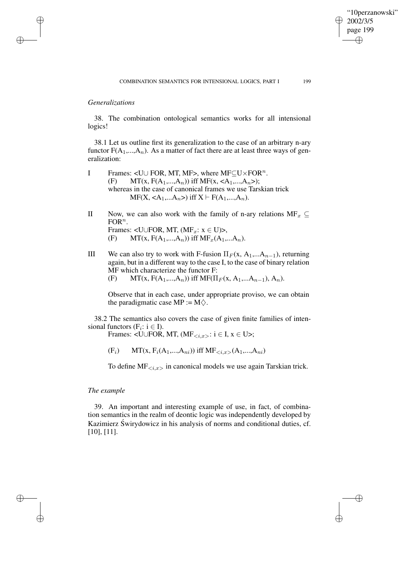"10perzanowski"

2002/3/5 page 199

✐

✐

✐

✐

# *Generalizations*

✐

✐

✐

✐

38. The combination ontological semantics works for all intensional logics!

38.1 Let us outline first its generalization to the case of an arbitrary n-ary functor  $F(A_1,...,A_n)$ . As a matter of fact there are at least three ways of generalization:

- I Frames: <U∪ FOR, MT, MF>, where  $MF\_U \times FOR^n$ . (F) MT(x,  $F(A_1,...,A_n)$ ) iff MF(x,  $\langle A_1,...,A_n \rangle$ ); whereas in the case of canonical frames we use Tarskian trick  $MF(X, \langle A_1,...A_n \rangle)$  iff  $X \vdash F(A_1,...,A_n)$ .
- II Now, we can also work with the family of n-ary relations  $MF_x \subseteq$ FOR<sup>n</sup>. Frames: < $U \cup FOR$ , MT,  $(MF_x: x \in U)$ >, (F) MT(x,  $F(A_1,...,A_n)$ ) iff  $MF_x(A_1,...A_n)$ .
- III We can also try to work with F-fusion  $\Pi_F(x, A_1,...A_{n-1})$ , returning again, but in a different way to the case I, to the case of binary relation MF which characterize the functor F:
	- (F) MT(x,  $F(A_1,...,A_n)$ ) iff MF( $\Pi_F$ (x, A<sub>1</sub>,...A<sub>n-1</sub>), A<sub>n</sub>).

Observe that in each case, under appropriate proviso, we can obtain the paradigmatic case MP :=  $M\Diamond$ .

38.2 The semantics also covers the case of given finite families of intensional functors ( $F_i: i \in I$ ).

Frames: <U∪FOR, MT,  $(MF_{\le i,x>} : i \in I, x \in U$ >;

 $(F_i)$  MT(x,  $F_i(A_1,...,A_{ni})$ ) iff MF $\langle i.x \rangle(A_1,...,A_{ni})$ 

To define  $MF_{\langle i,x\rangle}$  in canonical models we use again Tarskian trick.

# *The example*

39. An important and interesting example of use, in fact, of combination semantics in the realm of deontic logic was independently developed by Kazimierz Świrydowicz in his analysis of norms and conditional duties, cf. [10], [11].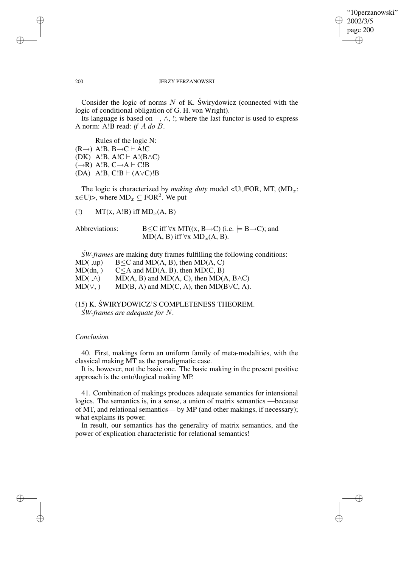✐

#### 200 JERZY PERZANOWSKI

Consider the logic of norms  $N$  of K. Swirydowicz (connected with the logic of conditional obligation of G. H. von Wright).

Its language is based on  $\neg$ ,  $\wedge$ , !; where the last functor is used to express A norm: A!B read: *if* A *do* B.

Rules of the logic N:

 $(R\rightarrow)$  A!B,  $B\rightarrow C$   $\vdash$  A!C

(DK) A!B, A!C  $\vdash$  A!(B $\land$ C)

- $(\rightarrow R)$  A!B,  $C \rightarrow A \vdash C$ !B
- (DA) A!B,  $C!B \vdash (A \lor C)!B$

The logic is characterized by *making duty* model <U∪FOR, MT, (MD<sub>x</sub>: x∈U)>, where  $MD_x \subseteq FOR^2$ . We put

(!) MT(x, A!B) iff  $MD_x(A, B)$ 

Abbreviations:  $B \leq C$  iff  $\forall x$  MT((x, B $\rightarrow$ C) (i.e.  $\models B \rightarrow C$ ); and MD(A, B) iff  $\forall x \text{MD}_x(A, B)$ .

*SW-frames* are making duty frames fulfilling the following conditions:

- MD(,up)  $B \leq C$  and MD(A, B), then MD(A, C)
- $MD(dn, )$   $C \leq A$  and  $MD(A, B)$ , then  $MD(C, B)$

 $MD( , \wedge)$  MD(A, B) and MD(A, C), then MD(A, B $\wedge$ C)

 $MD(\vee, )$  MD(B, A) and MD(C, A), then MD(B $\vee$ C, A).

(15) K. ŚWIRYDOWICZ'S COMPLETENESS THEOREM. *SW´ -frames are adequate for* N*.*

# *Conclusion*

40. First, makings form an uniform family of meta-modalities, with the classical making MT as the paradigmatic case.

It is, however, not the basic one. The basic making in the present positive approach is the onto\logical making MP.

41. Combination of makings produces adequate semantics for intensional logics. The semantics is, in a sense, a union of matrix semantics —because of MT, and relational semantics— by MP (and other makings, if necessary); what explains its power.

In result, our semantics has the generality of matrix semantics, and the power of explication characteristic for relational semantics!

✐

✐

✐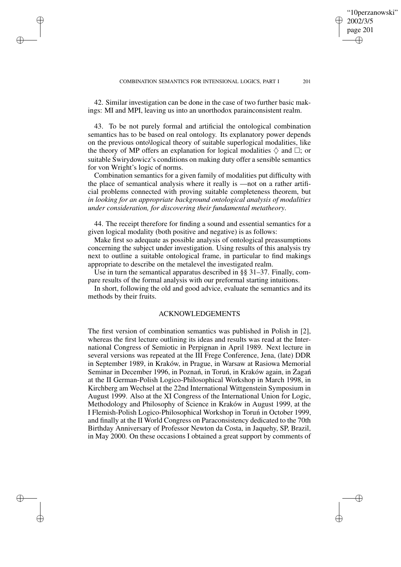COMBINATION SEMANTICS FOR INTENSIONAL LOGICS, PART I 201

42. Similar investigation can be done in the case of two further basic makings: MI and MPI, leaving us into an unorthodox parainconsistent realm.

✐

✐

✐

✐

43. To be not purely formal and artificial the ontological combination semantics has to be based on real ontology. Its explanatory power depends on the previous onto\logical theory of suitable superlogical modalities, like the theory of MP offers an explanation for logical modalities  $\diamond$  and  $\square$ ; or suitable Świrydowicz's conditions on making duty offer a sensible semantics for von Wright's logic of norms.

Combination semantics for a given family of modalities put difficulty with the place of semantical analysis where it really is —not on a rather artificial problems connected with proving suitable completeness theorem, but *in looking for an appropriate background ontological analysis of modalities under consideration, for discovering their fundamental metatheory*.

44. The receipt therefore for finding a sound and essential semantics for a given logical modality (both positive and negative) is as follows:

Make first so adequate as possible analysis of ontological preassumptions concerning the subject under investigation. Using results of this analysis try next to outline a suitable ontological frame, in particular to find makings appropriate to describe on the metalevel the investigated realm.

Use in turn the semantical apparatus described in §§ 31–37. Finally, compare results of the formal analysis with our preformal starting intuitions.

In short, following the old and good advice, evaluate the semantics and its methods by their fruits.

## ACKNOWLEDGEMENTS

The first version of combination semantics was published in Polish in [2], whereas the first lecture outlining its ideas and results was read at the International Congress of Semiotic in Perpignan in April 1989. Next lecture in several versions was repeated at the III Frege Conference, Jena, (late) DDR in September 1989, in Kraków, in Prague, in Warsaw at Rasiowa Memorial Seminar in December 1996, in Poznań, in Toruń, in Kraków again, in Żagań at the II German-Polish Logico-Philosophical Workshop in March 1998, in Kirchberg am Wechsel at the 22nd International Wittgenstein Symposium in August 1999. Also at the XI Congress of the International Union for Logic, Methodology and Philosophy of Science in Kraków in August 1999, at the I Flemish-Polish Logico-Philosophical Workshop in Toruń in October 1999, and finally at the II World Congress on Paraconsistency dedicated to the 70th Birthday Anniversary of Professor Newton da Costa, in Jaquehy, SP, Brazil, in May 2000. On these occasions I obtained a great support by comments of

✐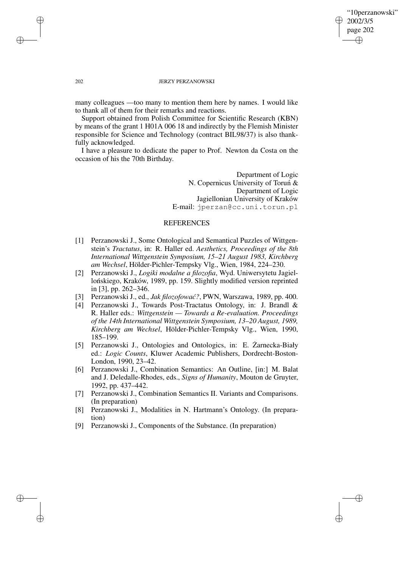## "10perzanowski" 2002/3/5 page 202 ✐ ✐

✐

✐

#### 202 JERZY PERZANOWSKI

many colleagues —too many to mention them here by names. I would like to thank all of them for their remarks and reactions.

Support obtained from Polish Committee for Scientific Research (KBN) by means of the grant 1 H01A 006 18 and indirectly by the Flemish Minister responsible for Science and Technology (contract BIL98/37) is also thankfully acknowledged.

I have a pleasure to dedicate the paper to Prof. Newton da Costa on the occasion of his the 70th Birthday.

> Department of Logic N. Copernicus University of Torun<sup>*&*</sup> Department of Logic Jagiellonian University of Kraków E-mail: jperzan@cc.uni.torun.pl

### REFERENCES

- [1] Perzanowski J., Some Ontological and Semantical Puzzles of Wittgenstein's *Tractatus*, in: R. Haller ed. *Aesthetics, Proceedings of the 8th International Wittgenstein Symposium, 15–21 August 1983, Kirchberg am Wechsel*, Hölder-Pichler-Tempsky Vlg., Wien, 1984, 224–230.
- [2] Perzanowski J., *Logiki modalne a filozofia*, Wyd. Uniwersytetu Jagiellońskiego, Kraków, 1989, pp. 159. Slightly modified version reprinted in [3], pp. 262–346.
- [3] Perzanowski J., ed., *Jak filozofować?*, PWN, Warszawa, 1989, pp. 400.
- [4] Perzanowski J., Towards Post-Tractatus Ontology, in: J. Brandl & R. Haller eds.: *Wittgenstein — Towards a Re-evaluation. Proceedings of the 14th International Wittgenstein Symposium, 13–20 August, 1989, Kirchberg am Wechsel*, Hölder-Pichler-Tempsky Vlg., Wien, 1990, 185–199.
- [5] Perzanowski J., Ontologies and Ontologics, in: E. Zarnecka-Biały ˙ ed.: *Logic Counts*, Kluwer Academic Publishers, Dordrecht-Boston-London, 1990, 23–42.
- [6] Perzanowski J., Combination Semantics: An Outline, [in:] M. Balat and J. Deledalle-Rhodes, eds., *Signs of Humanity*, Mouton de Gruyter, 1992, pp. 437–442.
- [7] Perzanowski J., Combination Semantics II. Variants and Comparisons. (In preparation)
- [8] Perzanowski J., Modalities in N. Hartmann's Ontology. (In preparation)
- [9] Perzanowski J., Components of the Substance. (In preparation)

✐

✐

✐